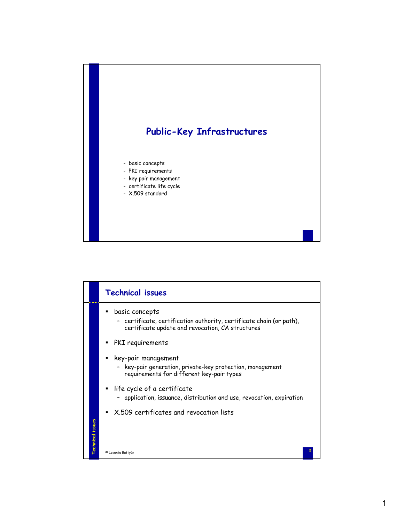

|                         | <b>Technical issues</b>                                                                                |
|-------------------------|--------------------------------------------------------------------------------------------------------|
|                         | basic concepts<br>certificate, certification authority, certificate chain (or path),                   |
|                         | certificate update and revocation, CA structures                                                       |
|                         | PKI requirements                                                                                       |
|                         | key-pair management                                                                                    |
|                         | - key-pair generation, private-key protection, management<br>requirements for different key-pair types |
|                         | life cycle of a certificate                                                                            |
|                         | application, issuance, distribution and use, revocation, expiration                                    |
|                         | X 509 certificates and revocation lists                                                                |
| <b>Technical issues</b> |                                                                                                        |
|                         |                                                                                                        |
|                         | © Levente Buttyán                                                                                      |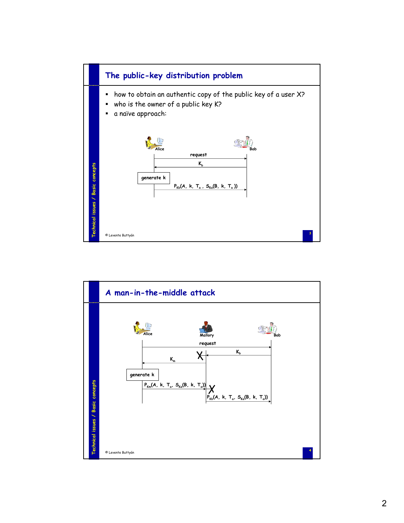

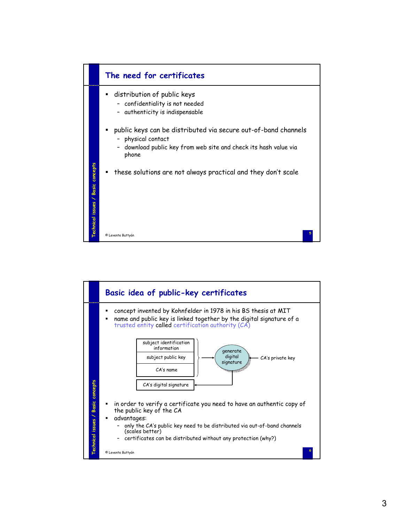

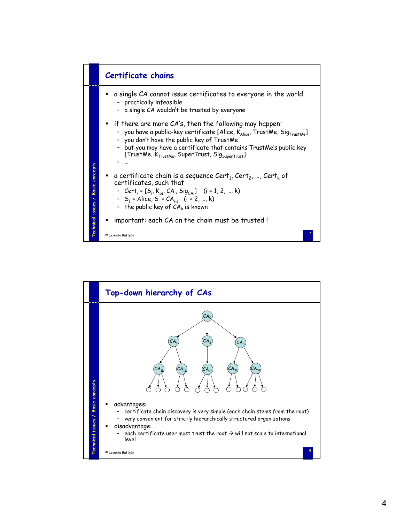

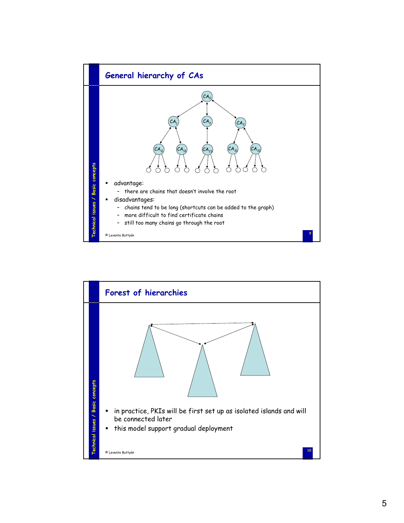

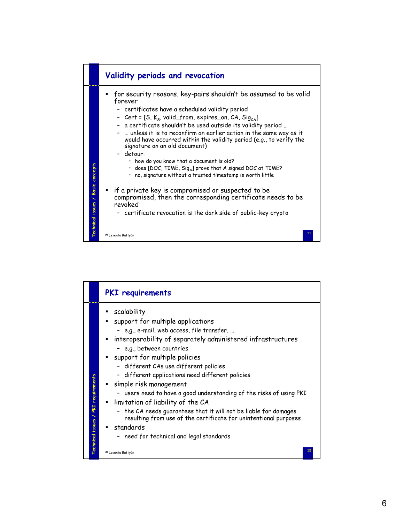

|                                     | <b>PKI</b> requirements                                                                                                                                                                                                                                                                                                                                                                                                                                                                                                                                                                                                                                                          |
|-------------------------------------|----------------------------------------------------------------------------------------------------------------------------------------------------------------------------------------------------------------------------------------------------------------------------------------------------------------------------------------------------------------------------------------------------------------------------------------------------------------------------------------------------------------------------------------------------------------------------------------------------------------------------------------------------------------------------------|
| Technical issues / PKI requirements | scalability<br>support for multiple applications<br>- e.g., e-mail, web access, file transfer,<br>" interoperability of separately administered infrastructures<br>- e.g., between countries<br>" support for multiple policies<br>- different CAs use different policies<br>- different applications need different policies<br>simple risk management<br>- users need to have a good understanding of the risks of using PKI<br>Imitation of liability of the CA<br>the CA needs guarantees that it will not be liable for damages<br>resulting from use of the certificate for unintentional purposes<br>$\blacksquare$ standards<br>- need for technical and legal standards |
|                                     | 12<br>© Levente Buttyán                                                                                                                                                                                                                                                                                                                                                                                                                                                                                                                                                                                                                                                          |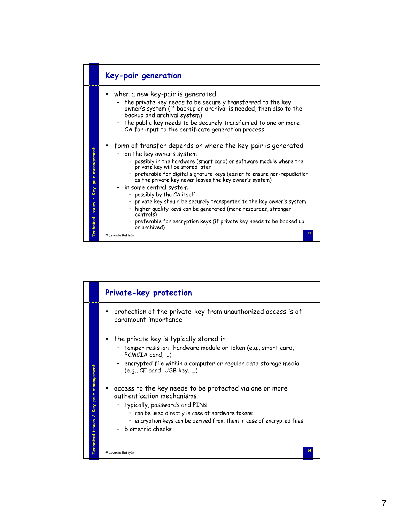

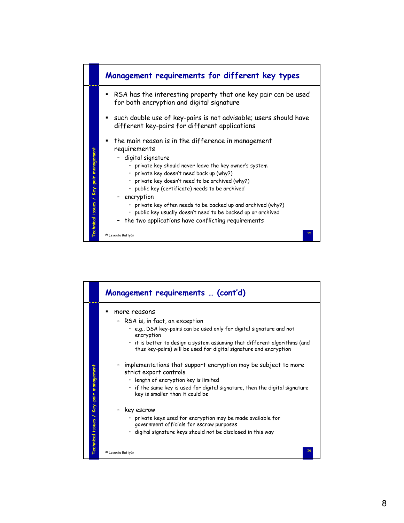

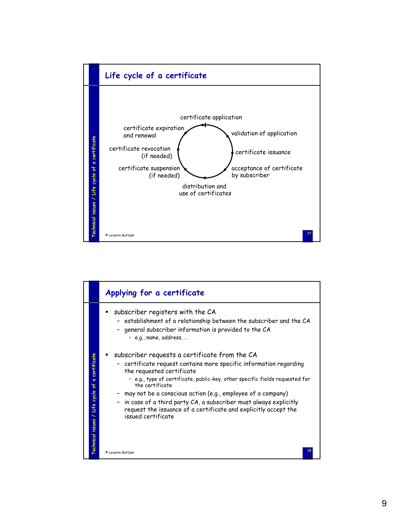

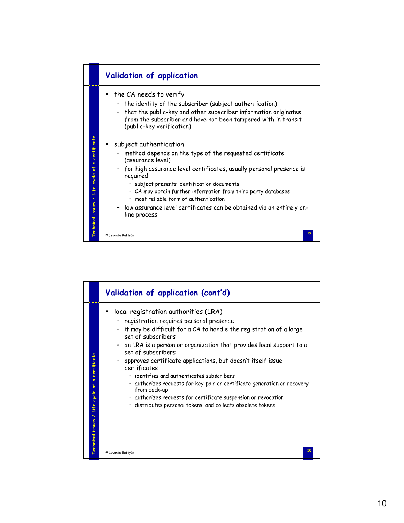

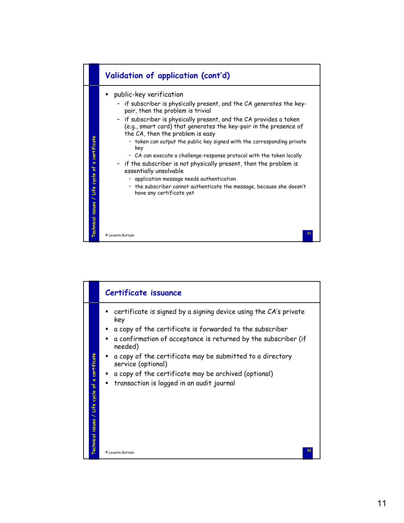

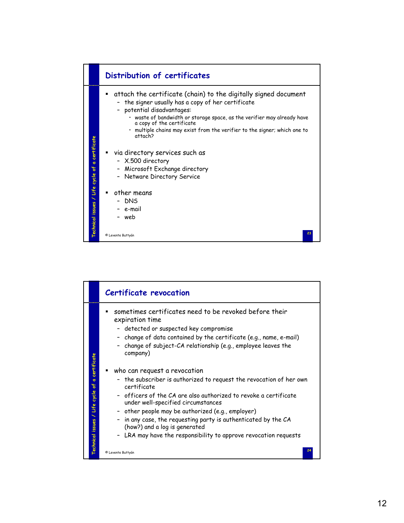

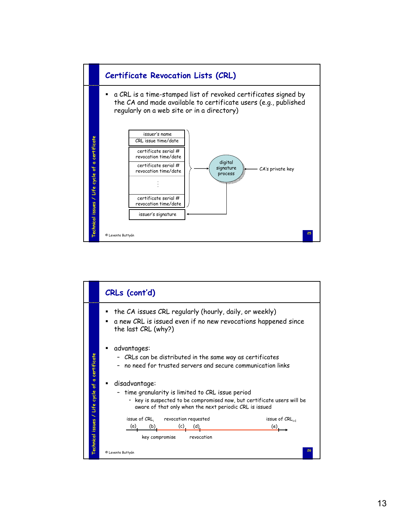

|                                             | CRLs (cont'd)                                                                                                                                                                                            |
|---------------------------------------------|----------------------------------------------------------------------------------------------------------------------------------------------------------------------------------------------------------|
|                                             | the CA issues CRL regularly (hourly, daily, or weekly)<br>a new CRL is issued even if no new revocations happened since<br>the last CRL (why?)                                                           |
| certificate                                 | advantages:<br>- CRLs can be distributed in the same way as certificates<br>no need for trusted servers and secure communication links                                                                   |
| $\sigma$<br>۴<br>cycle<br>Life              | disadvantage:<br>- time granularity is limited to CRL issue period<br>• key is suspected to be compromised now, but certificate users will be<br>aware of that only when the next periodic CRL is issued |
| $\overline{\phantom{0}}$<br>echnical issues | issue of CRL,<br>revocation requested<br>issue of CRL<br>(c)<br>(a).<br>(b).<br>(d).<br>(e)<br>key compromise<br>revocation<br>26<br>© Levente Buttyán                                                   |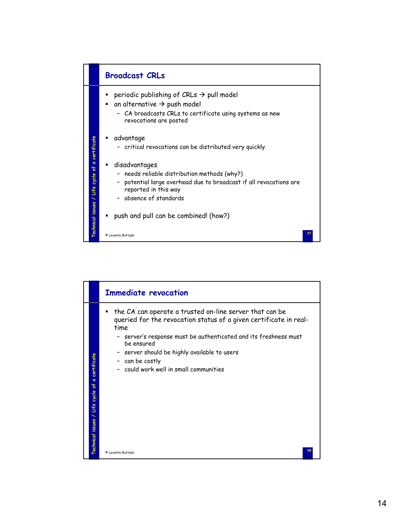

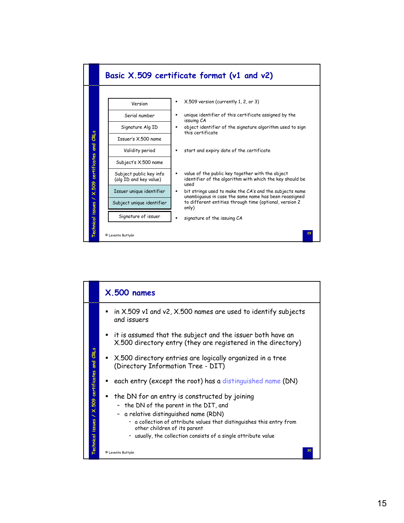

|                                              | $X.500$ names                                                                                                                                                                                                                                                                                               |
|----------------------------------------------|-------------------------------------------------------------------------------------------------------------------------------------------------------------------------------------------------------------------------------------------------------------------------------------------------------------|
|                                              | in X.509 v1 and v2, X.500 names are used to identify subjects<br>and issuers                                                                                                                                                                                                                                |
|                                              | • it is assumed that the subject and the issuer both have an<br>X.500 directory entry (they are registered in the directory)                                                                                                                                                                                |
| and CRLs                                     | • X.500 directory entries are logically organized in a tree<br>(Directory Information Tree - DIT)                                                                                                                                                                                                           |
|                                              | each entry (except the root) has a distinguished name (DN)                                                                                                                                                                                                                                                  |
| <b>Technical issues / X.509 certificates</b> | the DN for an entry is constructed by joining<br>- the DN of the parent in the DIT, and<br>- a relative distinguished name (RDN)<br>. a collection of attribute values that distinguishes this entry from<br>other children of its parent<br>. usually, the collection consists of a single attribute value |
|                                              | 30<br>© Levente Buttyán                                                                                                                                                                                                                                                                                     |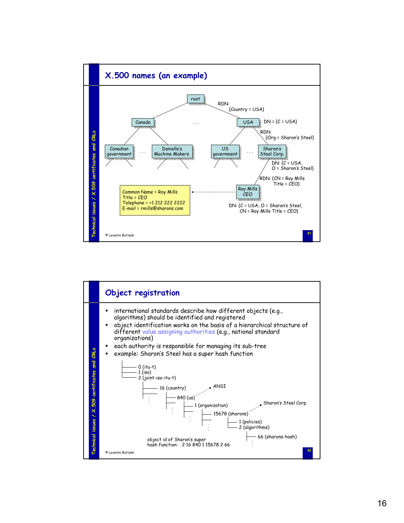

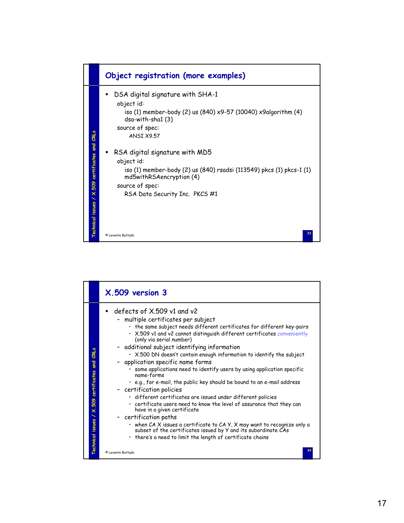

|                                                      | X.509 version 3                                                                                                                                                                                                                                                                                                                                                                                                                                                                                                                                                                                                                                                                                                                                                                                                                                                                                                                                                                                                                                           |
|------------------------------------------------------|-----------------------------------------------------------------------------------------------------------------------------------------------------------------------------------------------------------------------------------------------------------------------------------------------------------------------------------------------------------------------------------------------------------------------------------------------------------------------------------------------------------------------------------------------------------------------------------------------------------------------------------------------------------------------------------------------------------------------------------------------------------------------------------------------------------------------------------------------------------------------------------------------------------------------------------------------------------------------------------------------------------------------------------------------------------|
| CRLs<br>and<br>Technical issues / X.509 certificates | defects of X.509 v1 and v2<br>- multiple certificates per subject<br>• the same subject needs different certificates for different key-pairs<br>. X.509 v1 and v2 cannot distinguish different certificates conveniently<br>(only via serial number)<br>- additional subject identifying information<br>. X.500 DN doesn't contain enough information to identify the subject<br>- application specific name forms<br>some applications need to identify users by using application specific<br>name-forms<br>. e.g., for e-mail, the public key should be bound to an e-mail address<br>- certification policies<br>· different certificates are issued under different policies<br>• certificate users need to know the level of assurance that they can<br>have in a given certificate<br>- certification paths<br>• when CA X issues a certificate to CA Y, X may want to recognize only a<br>subset of the certificates issued by Y and its subordinate CAs<br>• there's a need to limit the length of certificate chains<br>34<br>© Levente Buttyán |
|                                                      |                                                                                                                                                                                                                                                                                                                                                                                                                                                                                                                                                                                                                                                                                                                                                                                                                                                                                                                                                                                                                                                           |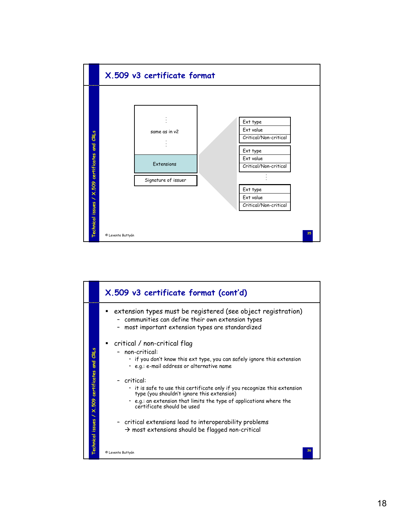

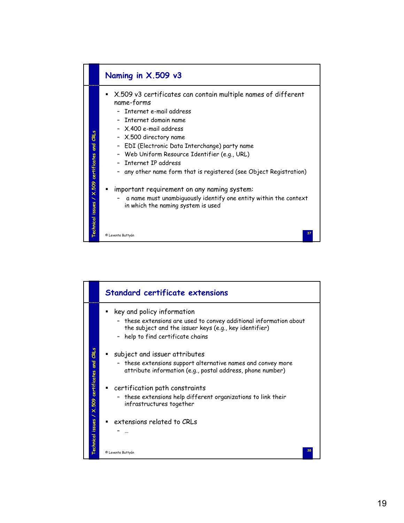

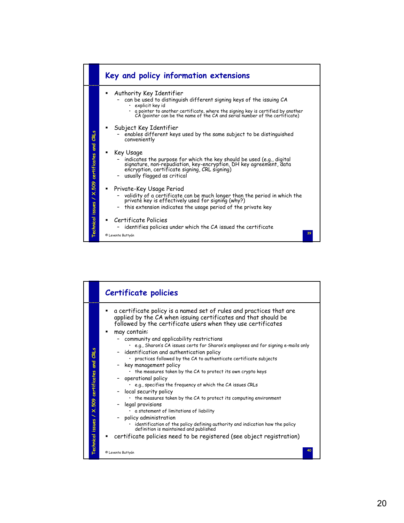

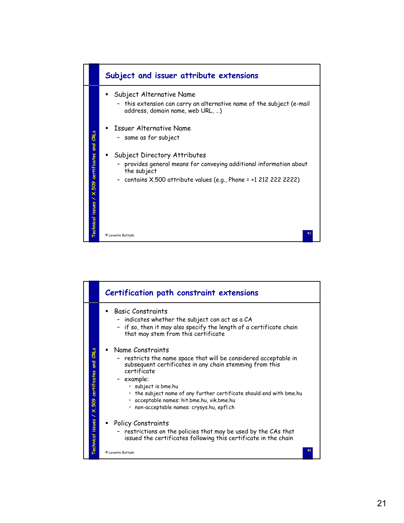

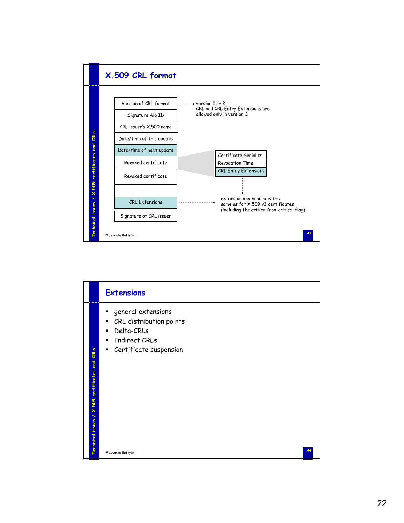

|                                                                   | <b>Extensions</b>                                                                                                          |
|-------------------------------------------------------------------|----------------------------------------------------------------------------------------------------------------------------|
| CRLs<br>and<br>X.509 certificates<br>↖<br><b>Technical issues</b> | general extensions<br>٠<br>CRL distribution points<br>٠<br>Delta-CRLs<br>٠<br>Indirect CRLs<br>Certificate suspension<br>٠ |
|                                                                   | © Levente Buttyán                                                                                                          |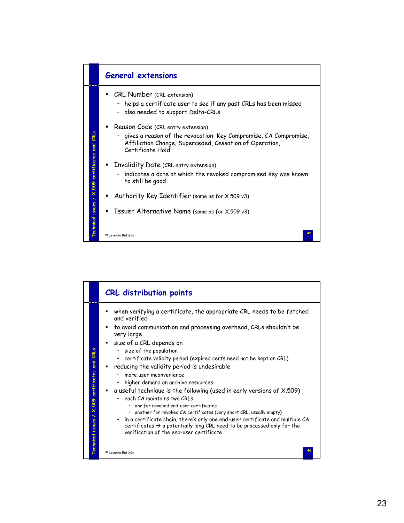

|                                                   | <b>CRL</b> distribution points                                                                                                                                                                                                                                                                                                                                                                                                                                                                                                                                                                                                                                                                                                                                                                                                                                                              |
|---------------------------------------------------|---------------------------------------------------------------------------------------------------------------------------------------------------------------------------------------------------------------------------------------------------------------------------------------------------------------------------------------------------------------------------------------------------------------------------------------------------------------------------------------------------------------------------------------------------------------------------------------------------------------------------------------------------------------------------------------------------------------------------------------------------------------------------------------------------------------------------------------------------------------------------------------------|
| CRLs<br>Technical issues / X.509 certificates and | when verifying a certificate, the appropriate CRL needs to be fetched<br>and verified<br>to avoid communication and processing overhead, CRLs shouldn't be<br>very large<br>size of a CRL depends on<br>size of the population<br>certificate validity period (expired certs need not be kept on CRL)<br>reducing the validity period is undesirable<br>more user inconvenience<br>higher demand on archive resources<br>a useful technique is the following (used in early versions of X.509)<br>each CA maintains two CRLs<br>. one for revoked end-user certificates<br>· another for revoked CA certificates (very short CRL, usually empty)<br>- in a certificate chain, there's only one end-user certificate and multiple CA<br>certificates $\rightarrow$ a potentially long CRL need to be processed only for the<br>verification of the end-user certificate<br>© Levente Buttyán |
|                                                   |                                                                                                                                                                                                                                                                                                                                                                                                                                                                                                                                                                                                                                                                                                                                                                                                                                                                                             |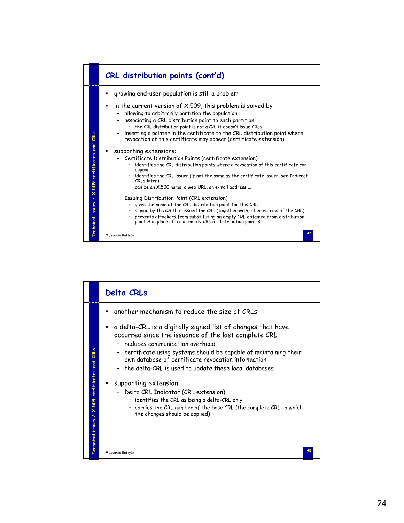

|                                                       | <b>Delta CRLs</b>                                                                                                                                                                                                                                                                                                                                   |
|-------------------------------------------------------|-----------------------------------------------------------------------------------------------------------------------------------------------------------------------------------------------------------------------------------------------------------------------------------------------------------------------------------------------------|
|                                                       | another mechanism to reduce the size of CRLs                                                                                                                                                                                                                                                                                                        |
| CRLs<br><b>a</b> ng                                   | a delta-CRL is a digitally signed list of changes that have<br>٠<br>occurred since the issuance of the last complete CRL<br>- reduces communication overhead<br>- certificate using systems should be capable of maintaining their<br>own database of certificate revocation information<br>- the delta-CRL is used to update these local databases |
| certificates<br>X.509<br>↖<br><b>Technical issues</b> | supporting extension:<br>- Delta CRL Indicator (CRL extension)<br>$\cdot$ identifies the CRL as being a delta-CRL only<br>· carries the CRL number of the base CRL (the complete CRL to which<br>the changes should be applied)                                                                                                                     |
|                                                       | © Levente Buttyán                                                                                                                                                                                                                                                                                                                                   |